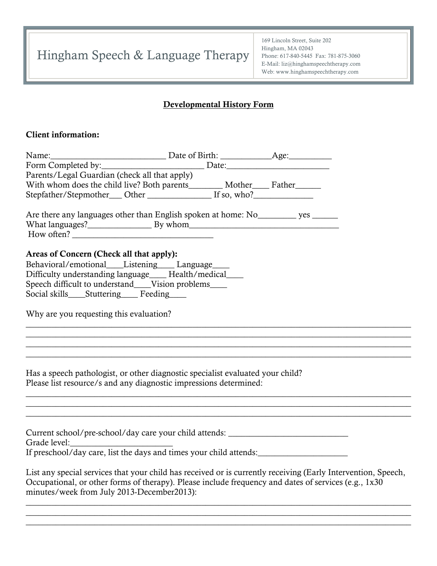Hingham Speech & Language Therapy

169 Lincoln Street, Suite 202 Hingham, MA 02043 Phone: 617-840-5445 Fax: 781-875-3060 E-Mail: liz@hinghamspeechtherapy.com Web: www.hinghamspeechtherapy.com

# Developmental History Form

### Client information:

| Parents/Legal Guardian (check all that apply)                                                                                                      |                                                                                                               |
|----------------------------------------------------------------------------------------------------------------------------------------------------|---------------------------------------------------------------------------------------------------------------|
| With whom does the child live? Both parents__________ Mother______ Father_______                                                                   |                                                                                                               |
|                                                                                                                                                    |                                                                                                               |
| Are there any languages other than English spoken at home: No<br>quantum yes quality                                                               |                                                                                                               |
| Areas of Concern (Check all that apply):                                                                                                           |                                                                                                               |
| Behavioral/emotional____Listening____Language____                                                                                                  |                                                                                                               |
| Difficulty understanding language____ Health/medical____                                                                                           |                                                                                                               |
| Speech difficult to understand____Vision problems____                                                                                              |                                                                                                               |
| Social skills____Stuttering_____ Feeding_____                                                                                                      |                                                                                                               |
|                                                                                                                                                    |                                                                                                               |
| Why are you requesting this evaluation?                                                                                                            |                                                                                                               |
|                                                                                                                                                    |                                                                                                               |
| <u> 1989 - Johann John Stoff, deutscher Stoffen und der Stoffen und der Stoffen und der Stoffen und der Stoffen u</u>                              |                                                                                                               |
|                                                                                                                                                    |                                                                                                               |
|                                                                                                                                                    |                                                                                                               |
| Has a speech pathologist, or other diagnostic specialist evaluated your child?                                                                     |                                                                                                               |
| Please list resource/s and any diagnostic impressions determined:                                                                                  |                                                                                                               |
|                                                                                                                                                    |                                                                                                               |
|                                                                                                                                                    |                                                                                                               |
|                                                                                                                                                    |                                                                                                               |
| Current school/pre-school/day care your child attends: __________________________                                                                  |                                                                                                               |
|                                                                                                                                                    |                                                                                                               |
|                                                                                                                                                    |                                                                                                               |
|                                                                                                                                                    |                                                                                                               |
| Occupational, or other forms of therapy). Please include frequency and dates of services (e.g., 1x30<br>minutes/week from July 2013-December2013): | List any special services that your child has received or is currently receiving (Early Intervention, Speech, |

 $\_$  , and the set of the set of the set of the set of the set of the set of the set of the set of the set of the set of the set of the set of the set of the set of the set of the set of the set of the set of the set of th  $\_$  , and the set of the set of the set of the set of the set of the set of the set of the set of the set of the set of the set of the set of the set of the set of the set of the set of the set of the set of the set of th  $\_$  , and the set of the set of the set of the set of the set of the set of the set of the set of the set of the set of the set of the set of the set of the set of the set of the set of the set of the set of the set of th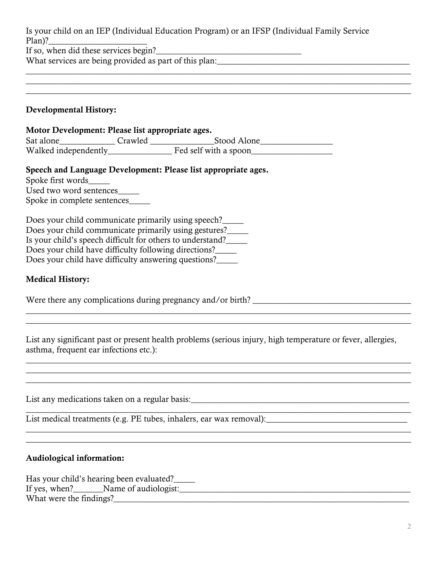Is your child on an IEP (Individual Education Program) or an IFSP (Individual Family Service Plan)?

 $\_$  , and the set of the set of the set of the set of the set of the set of the set of the set of the set of the set of the set of the set of the set of the set of the set of the set of the set of the set of the set of th  $\_$  , and the set of the set of the set of the set of the set of the set of the set of the set of the set of the set of the set of the set of the set of the set of the set of the set of the set of the set of the set of th  $\_$  , and the set of the set of the set of the set of the set of the set of the set of the set of the set of the set of the set of the set of the set of the set of the set of the set of the set of the set of the set of th

If so, when did these services begin?\_\_\_\_\_\_\_\_\_\_\_\_\_\_\_\_\_\_\_\_\_\_\_\_\_\_\_\_\_\_\_\_\_\_

What services are being provided as part of this plan:

### Developmental History:

| Motor Development: Please list appropriate ages. |         |                       |  |  |
|--------------------------------------------------|---------|-----------------------|--|--|
| Sat alone                                        | Crawled | Stood Alone           |  |  |
| Walked independently                             |         | Fed self with a spoon |  |  |

### Speech and Language Development: Please list appropriate ages.

Spoke first words\_\_\_\_\_ Used two word sentences\_\_\_\_\_

Spoke in complete sentences\_\_\_\_\_

| Does your child communicate primarily using speech?        |  |
|------------------------------------------------------------|--|
| Does your child communicate primarily using gestures?      |  |
| Is your child's speech difficult for others to understand? |  |
| Does your child have difficulty following directions?      |  |
| Does your child have difficulty answering questions?       |  |

## Medical History:

Were there any complications during pregnancy and/or birth?

List any significant past or present health problems (serious injury, high temperature or fever, allergies, asthma, frequent ear infections etc.):

 $\_$  , and the set of the set of the set of the set of the set of the set of the set of the set of the set of the set of the set of the set of the set of the set of the set of the set of the set of the set of the set of th  $\_$  , and the set of the set of the set of the set of the set of the set of the set of the set of the set of the set of the set of the set of the set of the set of the set of the set of the set of the set of the set of th

 $\_$  , and the set of the set of the set of the set of the set of the set of the set of the set of the set of the set of the set of the set of the set of the set of the set of the set of the set of the set of the set of th

 $\_$  , and the set of the set of the set of the set of the set of the set of the set of the set of the set of the set of the set of the set of the set of the set of the set of the set of the set of the set of the set of th

 $\_$  , and the set of the set of the set of the set of the set of the set of the set of the set of the set of the set of the set of the set of the set of the set of the set of the set of the set of the set of the set of th  $\_$  , and the set of the set of the set of the set of the set of the set of the set of the set of the set of the set of the set of the set of the set of the set of the set of the set of the set of the set of the set of th

List any medications taken on a regular basis:\_\_\_\_\_\_\_\_\_\_\_\_\_\_\_\_\_\_\_\_\_\_\_\_\_\_\_\_\_\_\_\_\_\_

List medical treatments (e.g. PE tubes, inhalers, ear wax removal):\_\_\_\_\_\_\_\_\_\_\_\_\_\_\_\_\_\_\_\_\_\_\_\_\_\_\_\_\_\_\_\_\_

### Audiological information:

Has your child's hearing been evaluated?\_\_\_\_\_ If yes, when?  $\blacksquare$  Name of audiologist: What were the findings?